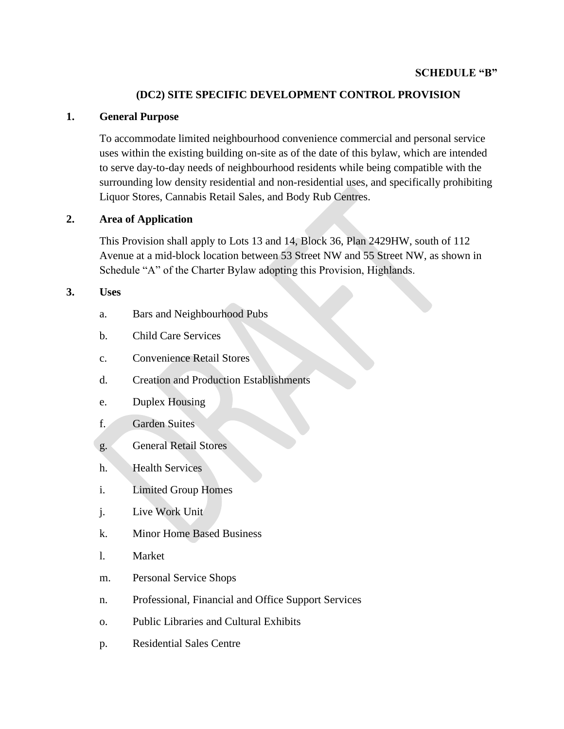## **(DC2) SITE SPECIFIC DEVELOPMENT CONTROL PROVISION**

### **1. General Purpose**

To accommodate limited neighbourhood convenience commercial and personal service uses within the existing building on-site as of the date of this bylaw, which are intended to serve day-to-day needs of neighbourhood residents while being compatible with the surrounding low density residential and non-residential uses, and specifically prohibiting Liquor Stores, Cannabis Retail Sales, and Body Rub Centres.

## **2. Area of Application**

This Provision shall apply to Lots 13 and 14, Block 36, Plan 2429HW, south of 112 Avenue at a mid-block location between 53 Street NW and 55 Street NW, as shown in Schedule "A" of the Charter Bylaw adopting this Provision, Highlands.

### **3. Uses**

- a. Bars and Neighbourhood Pubs
- b. Child Care Services
- c. Convenience Retail Stores
- d. Creation and Production Establishments
- e. Duplex Housing

## f. Garden Suites

- g. General Retail Stores
- h. Health Services
- i. Limited Group Homes
- j. Live Work Unit
- k. Minor Home Based Business
- l. Market
- m. Personal Service Shops
- n. Professional, Financial and Office Support Services
- o. Public Libraries and Cultural Exhibits
- p. Residential Sales Centre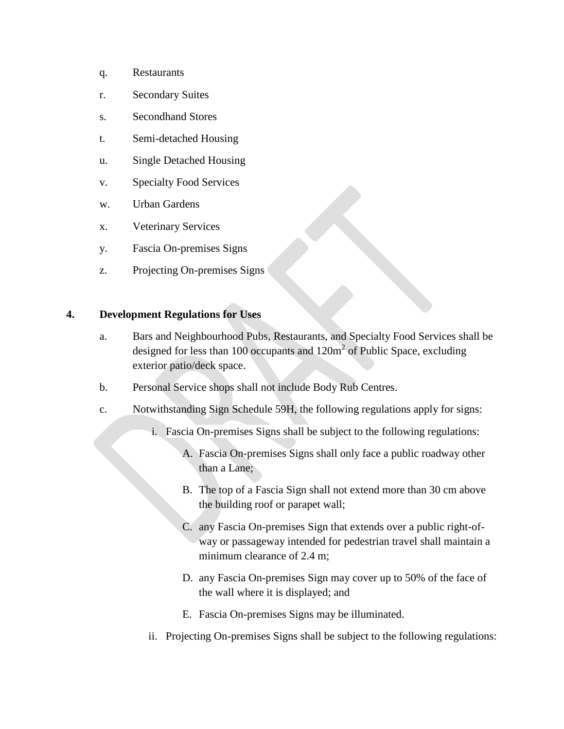- q. Restaurants
- r. Secondary Suites
- s. Secondhand Stores
- t. Semi-detached Housing
- u. Single Detached Housing
- v. Specialty Food Services
- w. Urban Gardens
- x. Veterinary Services
- y. Fascia On-premises Signs
- z. Projecting On-premises Signs

#### **4. Development Regulations for Uses**

- a. Bars and Neighbourhood Pubs, Restaurants, and Specialty Food Services shall be designed for less than 100 occupants and  $120m^2$  of Public Space, excluding exterior patio/deck space.
- b. Personal Service shops shall not include Body Rub Centres.
- c. Notwithstanding Sign Schedule 59H, the following regulations apply for signs:
	- i. Fascia On-premises Signs shall be subject to the following regulations:
		- A. Fascia On-premises Signs shall only face a public roadway other than a Lane;
		- B. The top of a Fascia Sign shall not extend more than 30 cm above the building roof or parapet wall;
		- C. any Fascia On-premises Sign that extends over a public right-ofway or passageway intended for pedestrian travel shall maintain a minimum clearance of 2.4 m;
		- D. any Fascia On-premises Sign may cover up to 50% of the face of the wall where it is displayed; and
		- E. Fascia On-premises Signs may be illuminated.
	- ii. Projecting On-premises Signs shall be subject to the following regulations: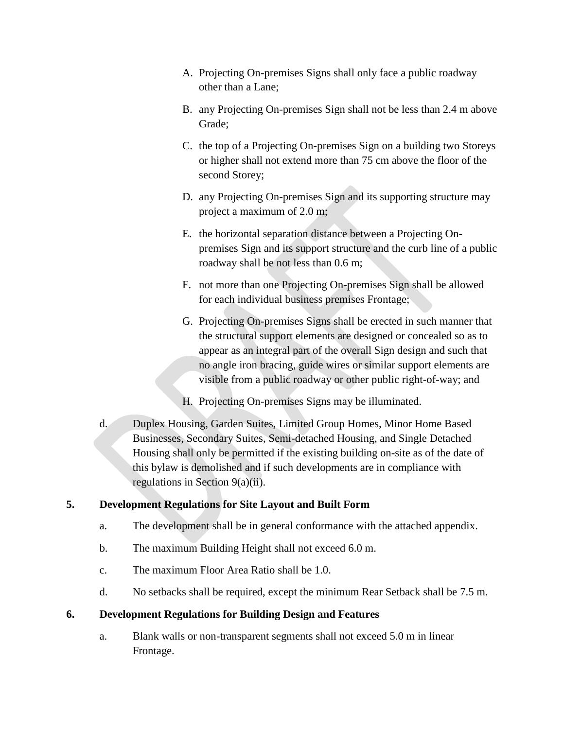- A. Projecting On-premises Signs shall only face a public roadway other than a Lane;
- B. any Projecting On-premises Sign shall not be less than 2.4 m above Grade;
- C. the top of a Projecting On-premises Sign on a building two Storeys or higher shall not extend more than 75 cm above the floor of the second Storey;
- D. any Projecting On-premises Sign and its supporting structure may project a maximum of 2.0 m;
- E. the horizontal separation distance between a Projecting Onpremises Sign and its support structure and the curb line of a public roadway shall be not less than 0.6 m;
- F. not more than one Projecting On-premises Sign shall be allowed for each individual business premises Frontage;
- G. Projecting On-premises Signs shall be erected in such manner that the structural support elements are designed or concealed so as to appear as an integral part of the overall Sign design and such that no angle iron bracing, guide wires or similar support elements are visible from a public roadway or other public right-of-way; and
- H. Projecting On-premises Signs may be illuminated.
- d. Duplex Housing, Garden Suites, Limited Group Homes, Minor Home Based Businesses, Secondary Suites, Semi-detached Housing, and Single Detached Housing shall only be permitted if the existing building on-site as of the date of this bylaw is demolished and if such developments are in compliance with regulations in Section 9(a)(ii).

# **5. Development Regulations for Site Layout and Built Form**

- a. The development shall be in general conformance with the attached appendix.
- b. The maximum Building Height shall not exceed 6.0 m.
- c. The maximum Floor Area Ratio shall be 1.0.
- d. No setbacks shall be required, except the minimum Rear Setback shall be 7.5 m.

## **6. Development Regulations for Building Design and Features**

a. Blank walls or non-transparent segments shall not exceed 5.0 m in linear Frontage.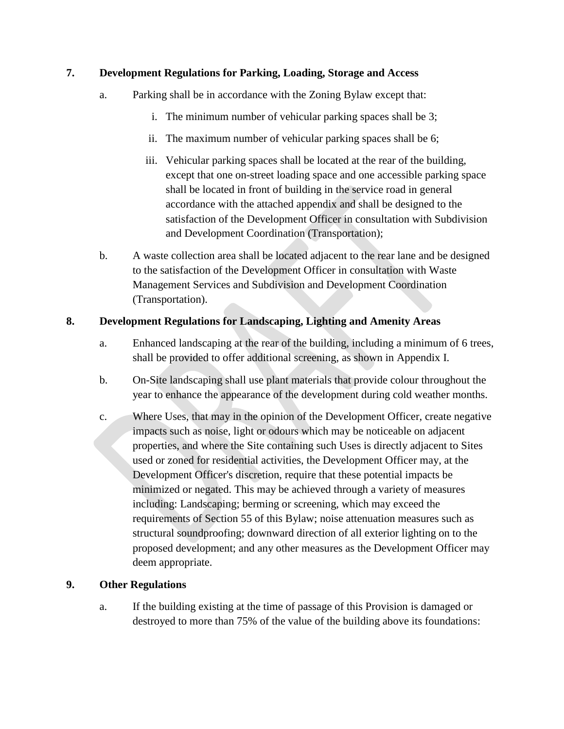## **7. Development Regulations for Parking, Loading, Storage and Access**

- a. Parking shall be in accordance with the Zoning Bylaw except that:
	- i. The minimum number of vehicular parking spaces shall be 3;
	- ii. The maximum number of vehicular parking spaces shall be 6;
	- iii. Vehicular parking spaces shall be located at the rear of the building, except that one on-street loading space and one accessible parking space shall be located in front of building in the service road in general accordance with the attached appendix and shall be designed to the satisfaction of the Development Officer in consultation with Subdivision and Development Coordination (Transportation);
- b. A waste collection area shall be located adjacent to the rear lane and be designed to the satisfaction of the Development Officer in consultation with Waste Management Services and Subdivision and Development Coordination (Transportation).

# **8. Development Regulations for Landscaping, Lighting and Amenity Areas**

- a. Enhanced landscaping at the rear of the building, including a minimum of 6 trees, shall be provided to offer additional screening, as shown in Appendix I.
- b. On-Site landscaping shall use plant materials that provide colour throughout the year to enhance the appearance of the development during cold weather months.
- c. Where Uses, that may in the opinion of the Development Officer, create negative impacts such as noise, light or odours which may be noticeable on adjacent properties, and where the Site containing such Uses is directly adjacent to Sites used or zoned for residential activities, the Development Officer may, at the Development Officer's discretion, require that these potential impacts be minimized or negated. This may be achieved through a variety of measures including: Landscaping; berming or screening, which may exceed the requirements of Section 55 of this Bylaw; noise attenuation measures such as structural soundproofing; downward direction of all exterior lighting on to the proposed development; and any other measures as the Development Officer may deem appropriate.

## **9. Other Regulations**

a. If the building existing at the time of passage of this Provision is damaged or destroyed to more than 75% of the value of the building above its foundations: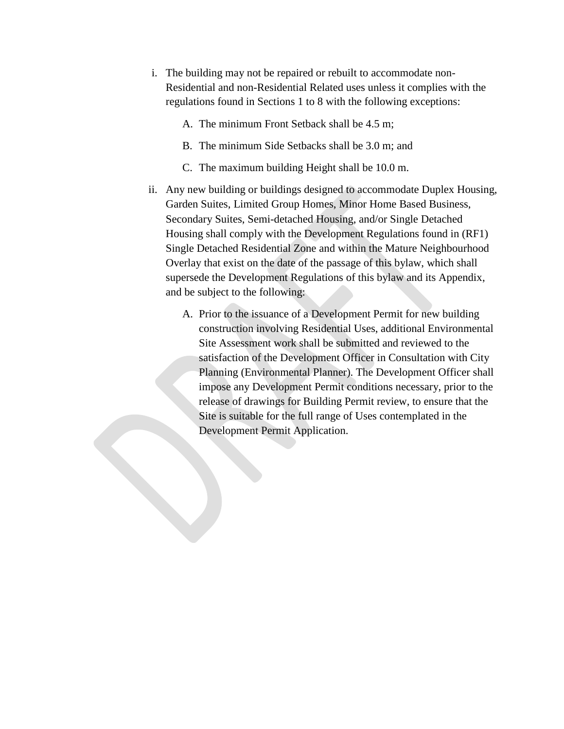- i. The building may not be repaired or rebuilt to accommodate non-Residential and non-Residential Related uses unless it complies with the regulations found in Sections 1 to 8 with the following exceptions:
	- A. The minimum Front Setback shall be 4.5 m;
	- B. The minimum Side Setbacks shall be 3.0 m; and
	- C. The maximum building Height shall be 10.0 m.
- ii. Any new building or buildings designed to accommodate Duplex Housing, Garden Suites, Limited Group Homes, Minor Home Based Business, Secondary Suites, Semi-detached Housing, and/or Single Detached Housing shall comply with the Development Regulations found in (RF1) Single Detached Residential Zone and within the Mature Neighbourhood Overlay that exist on the date of the passage of this bylaw, which shall supersede the Development Regulations of this bylaw and its Appendix, and be subject to the following:
	- A. Prior to the issuance of a Development Permit for new building construction involving Residential Uses, additional Environmental Site Assessment work shall be submitted and reviewed to the satisfaction of the Development Officer in Consultation with City Planning (Environmental Planner). The Development Officer shall impose any Development Permit conditions necessary, prior to the release of drawings for Building Permit review, to ensure that the Site is suitable for the full range of Uses contemplated in the Development Permit Application.